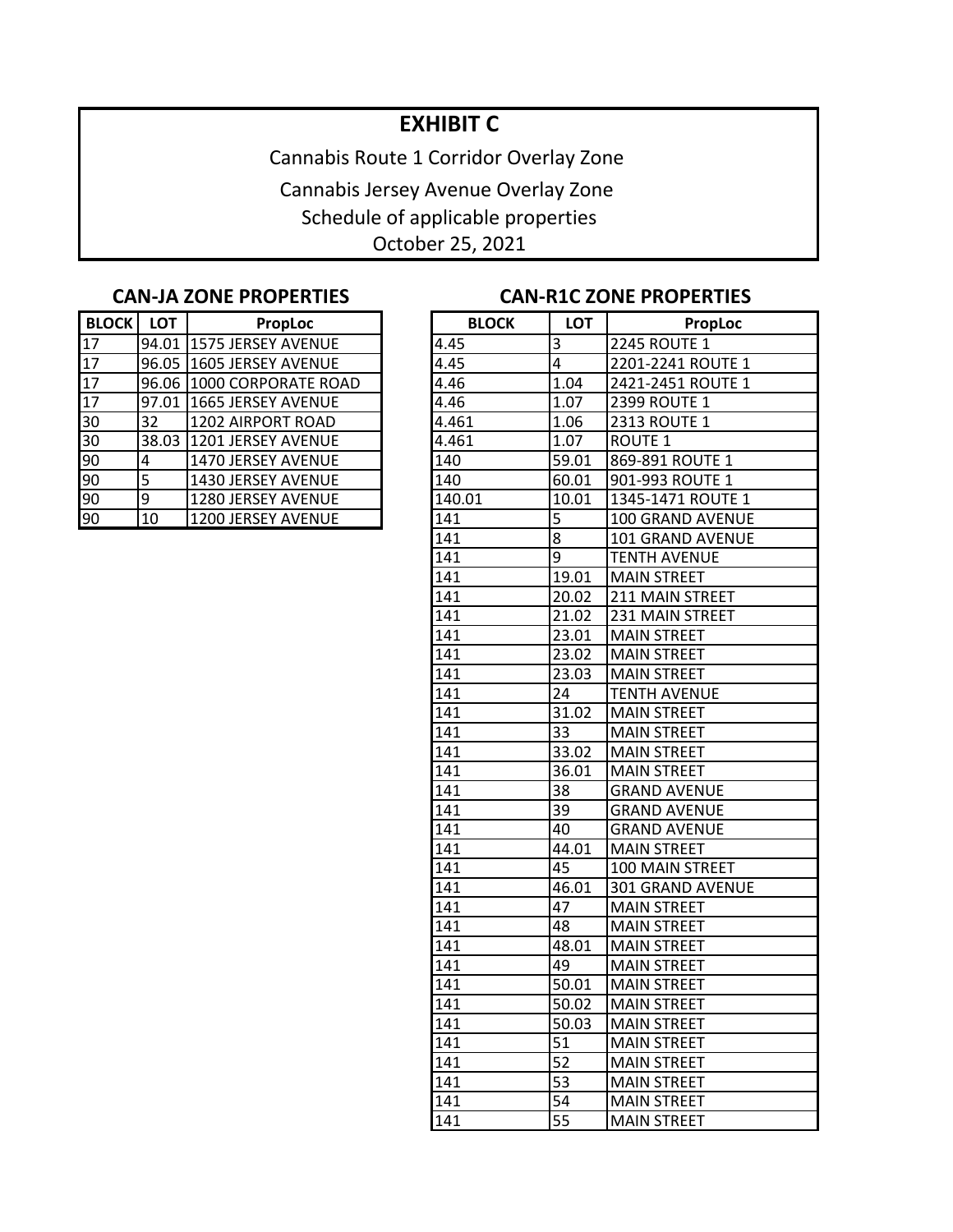## **EXHIBIT C**

Cannabis Route 1 Corridor Overlay Zone Cannabis Jersey Avenue Overlay Zone Schedule of applicable properties October 25, 2021

| <b>BLOCK</b> | <b>LOT</b> | <b>PropLoc</b>            | <b>BLOCK</b> | <b>LOT</b> | Pro                 |
|--------------|------------|---------------------------|--------------|------------|---------------------|
| 17           |            | 94.01 1575 JERSEY AVENUE  | 4.45         | ΄3         | <b>2245 ROUTE 1</b> |
| 17           |            | 96.05 1605 JERSEY AVENUE  | 4.45         | 4          | 2201-2241 RO        |
| 17           |            | 96.06 1000 CORPORATE ROAD | 4.46         | 1.04       | 2421-2451 RO        |
| 17           | 97.01      | 1665 JERSEY AVENUE        | 4.46         | 1.07       | <b>2399 ROUTE 1</b> |
| 30           | 32         | 1202 AIRPORT ROAD         | 4.461        | 1.06       | <b>2313 ROUTE 1</b> |
| 30           |            | 38.03 1201 JERSEY AVENUE  | 4.461        | 1.07       | <b>ROUTE 1</b>      |
| 90           | 14         | 1470 JERSEY AVENUE        | 140          | 59.01      | 869-891 ROUT        |
| 90           | 5          | 1430 JERSEY AVENUE        | 140          | 60.01      | 901-993 ROUT        |
| 90           | 9          | 1280 JERSEY AVENUE        | 140.01       | 10.01      | 1345-1471 RO        |
| 90           | 10         | 1200 JERSEY AVENUE        | 141          | 5          | 100 GRAND AV        |

## **CAN-JA ZONE PROPERTIES CAN-R1C ZONE PROPERTIES**

| <b>BLOCK</b> | <b>LOT</b> | PropLoc                    | <b>BLOCK</b>     | <b>LOT</b>     | <b>PropLoc</b>      |
|--------------|------------|----------------------------|------------------|----------------|---------------------|
| 17           |            | 94.01 1575 JERSEY AVENUE   | 4.45             | 3              | <b>2245 ROUTE 1</b> |
| 17           |            | 96.05 1605 JERSEY AVENUE   | 4.45             | $\overline{4}$ | 2201-2241 ROUTE 1   |
| 17           |            | 96.06 1000 CORPORATE ROAD  | 4.46             | 1.04           | 2421-2451 ROUTE 1   |
| 17           |            | 97.01   1665 JERSEY AVENUE | 4.46             | 1.07           | 2399 ROUTE 1        |
| 30           | 32         | 1202 AIRPORT ROAD          | 4.461            | 1.06           | 2313 ROUTE 1        |
| 30           |            | 38.03 1201 JERSEY AVENUE   | 4.461            | 1.07           | <b>ROUTE 1</b>      |
| 90           | 4          | 1470 JERSEY AVENUE         | 140              | 59.01          | 869-891 ROUTE 1     |
| 90           | 5          | 1430 JERSEY AVENUE         | 140              | 60.01          | 901-993 ROUTE 1     |
| 90           | 9          | 1280 JERSEY AVENUE         | 140.01           | 10.01          | 1345-1471 ROUTE 1   |
| 90           | 10         | 1200 JERSEY AVENUE         | 141              | 5              | 100 GRAND AVENUE    |
|              |            |                            | 141              | 8              | 101 GRAND AVENUE    |
|              |            |                            | 141              | $\overline{9}$ | <b>TENTH AVENUE</b> |
|              |            |                            | 141              | 19.01          | <b>MAIN STREET</b>  |
|              |            |                            | 141              | 20.02          | 211 MAIN STREET     |
|              |            |                            | 141              | 21.02          | 231 MAIN STREET     |
|              |            |                            | 141              | 23.01          | <b>MAIN STREET</b>  |
|              |            |                            | 141              | 23.02          | <b>MAIN STREET</b>  |
|              |            |                            | 141              | 23.03          | <b>MAIN STREET</b>  |
|              |            |                            | 141              | 24             | <b>TENTH AVENUE</b> |
|              |            |                            | 141              | 31.02          | <b>MAIN STREET</b>  |
|              |            |                            | 141              | 33             | <b>MAIN STREET</b>  |
|              |            |                            | 141              | 33.02          | <b>MAIN STREET</b>  |
|              |            |                            | 141              | 36.01          | <b>MAIN STREET</b>  |
|              |            |                            | 141              | 38             | <b>GRAND AVENUE</b> |
|              |            |                            | 141              | 39             | <b>GRAND AVENUE</b> |
|              |            |                            | 141              | 40             | <b>GRAND AVENUE</b> |
|              |            |                            | 141              | 44.01          | <b>MAIN STREET</b>  |
|              |            |                            | 141              | 45             | 100 MAIN STREET     |
|              |            |                            | 141              | 46.01          | 301 GRAND AVENUE    |
|              |            |                            | 141              | 47             | <b>MAIN STREET</b>  |
|              |            |                            | 141              | 48             | <b>MAIN STREET</b>  |
|              |            |                            | 141              | 48.01          | <b>MAIN STREET</b>  |
|              |            |                            | 141              | 49             | <b>MAIN STREET</b>  |
|              |            |                            | 141              | 50.01          | <b>MAIN STREET</b>  |
|              |            |                            | $\overline{141}$ | 50.02          | <b>MAIN STREET</b>  |
|              |            |                            | 141              | 50.03          | <b>MAIN STREET</b>  |
|              |            |                            | 141              | 51             | <b>MAIN STREET</b>  |
|              |            |                            | 141              | 52             | <b>MAIN STREET</b>  |
|              |            |                            | 141              | 53             | <b>MAIN STREET</b>  |
|              |            |                            | 141              | 54             | <b>MAIN STREET</b>  |
|              |            |                            | 141              | 55             | <b>MAIN STREET</b>  |